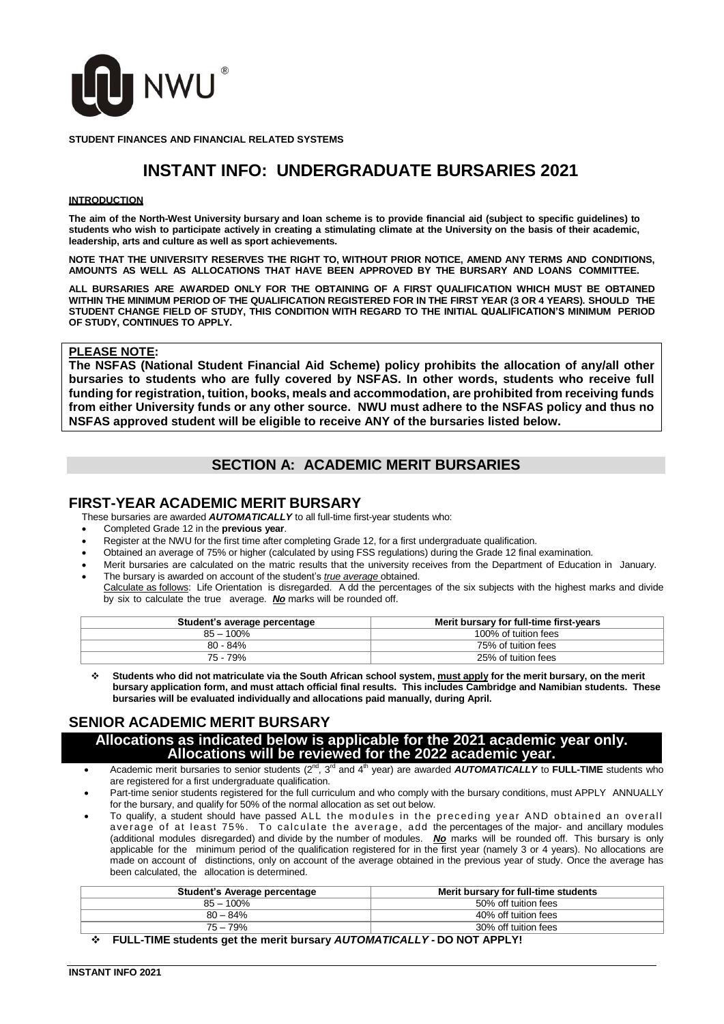

**STUDENT FINANCES AND FINANCIAL RELATED SYSTEMS**

# **INSTANT INFO: UNDERGRADUATE BURSARIES 2021**

#### **INTRODUCTION**

The aim of the North-West University bursary and loan scheme is to provide financial aid (subject to specific guidelines) to students who wish to participate actively in creating a stimulating climate at the University on the basis of their academic, **leadership, arts and culture as well as sport achievements.**

**NOTE THAT THE UNIVERSITY RESERVES THE RIGHT TO, WITHOUT PRIOR NOTICE, AMEND ANY TERMS AND CONDITIONS, AMOUNTS AS WELL AS ALLOCATIONS THAT HAVE BEEN APPROVED BY THE BURSARY AND LOANS COMMITTEE.**

**ALL BURSARIES ARE AWARDED ONLY FOR THE OBTAINING OF A FIRST QUALIFICATION WHICH MUST BE OBTAINED** WITHIN THE MINIMUM PERIOD OF THE QUALIFICATION REGISTERED FOR IN THE FIRST YEAR (3 OR 4 YEARS). SHOULD THE **STUDENT CHANGE FIELD OF STUDY, THIS CONDITION WITH REGARD TO THE INITIAL QUALIFICATION'S MINIMUM PERIOD OF STUDY, CONTINUES TO APPLY.**

### **PLEASE NOTE:**

**The NSFAS (National Student Financial Aid Scheme) policy prohibits the allocation of any/all other bursaries to students who are fully covered by NSFAS. In other words, students who receive full funding for registration, tuition, books, meals and accommodation, are prohibited from receiving funds from either University funds or any other source. NWU must adhere to the NSFAS policy and thus no NSFAS approved student will be eligible to receive ANY of the bursaries listed below.**

# **SECTION A: ACADEMIC MERIT BURSARIES**

### **FIRST-YEAR ACADEMIC MERIT BURSARY**

These bursaries are awarded *AUTOMATICALLY* to all full-time first-year students who:

- Completed Grade 12 in the **previous year**.
- Register at the NWU for the first time after completing Grade 12, for a first undergraduate qualification.
- Obtained an average of 75% or higher (calculated by using FSS regulations) during the Grade 12 final examination.
- Merit bursaries are calculated on the matric results that the university receives from the Department of Education in January. The bursary is awarded on account of the student's *true average* obtained.
- Calculate as follows: Life Orientation is disregarded. A dd the percentages of the six subjects with the highest marks and divide by six to calculate the true average. *No* marks will be rounded off.

| Student's average percentage | Merit bursary for full-time first-years |
|------------------------------|-----------------------------------------|
| $85 - 100\%$                 | 100% of tuition fees                    |
| 80 - 84%                     | 75% of tuition fees                     |
| 75 - 79%                     | 25% of tuition fees                     |

 **Students who did not matriculate via the South African school system, must apply for the merit bursary, on the merit bursary application form, and must attach official final results. This includes Cambridge and Namibian students. These bursaries will be evaluated individually and allocations paid manually, during April.**

# **SENIOR ACADEMIC MERIT BURSARY**

### **Allocations as indicated below is applicable for the 2021 academic year only. Allocations will be reviewed for the 2022 academic year.**

- Academic merit bursaries to senior students (2<sup>nd</sup>, 3<sup>rd</sup> and 4<sup>th</sup> year) are awarded **AUTOMATICALLY** to FULL-TIME students who are registered for a first undergraduate qualification.
- Part-time senior students registered for the full curriculum and who comply with the bursary conditions, must APPLY ANNUALLY for the bursary, and qualify for 50% of the normal allocation as set out below.
- To qualify, a student should have passed ALL the modules in the preceding year AND obtained an overall average of at least 75%. To calculate the average, add the percentages of the major- and ancillary modules (additional modules disregarded) and divide by the number of modules. *No* marks will be rounded off. This bursary is only applicable for the minimum period of the qualification registered for in the first year (namely 3 or 4 years). No allocations are made on account of distinctions, only on account of the average obtained in the previous year of study. Once the average has been calculated, the allocation is determined.

| Student's Average percentage            | Merit bursary for full-time students |  |
|-----------------------------------------|--------------------------------------|--|
| $85 - 100\%$                            | 50% off tuition fees                 |  |
| $80 - 84\%$                             | 40% off tuition fees                 |  |
| $75 - 79%$                              | 30% off tuition fees                 |  |
| $111 - 2111 - 121 - 1111 - 2111 - 2111$ |                                      |  |

**FULL-TIME students get the merit bursary** *AUTOMATICALLY -* **DO NOT APPLY!**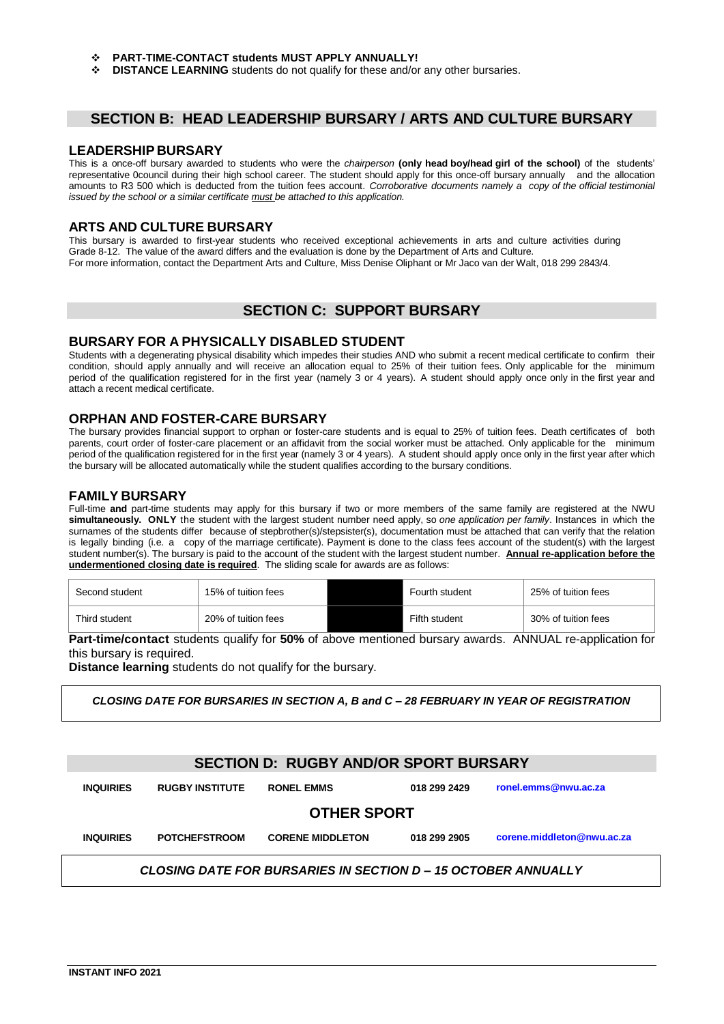- **PART-TIME-CONTACT students MUST APPLY ANNUALLY!**
- **DISTANCE LEARNING** students do not qualify for these and/or any other bursaries.

# **SECTION B: HEAD LEADERSHIP BURSARY / ARTS AND CULTURE BURSARY**

#### **LEADERSHIP BURSARY**

This is a once-off bursary awarded to students who were the *chairperson* **(only head boy/head girl of the school)** of the students' representative 0council during their high school career. The student should apply for this once-off bursary annually and the allocation amounts to R3 500 which is deducted from the tuition fees account. *Corroborative documents namely a copy of the official testimonial issued by the school or a similar certificate must be attached to this application.*

### **ARTS AND CULTURE BURSARY**

This bursary is awarded to first-year students who received exceptional achievements in arts and culture activities during Grade 8-12. The value of the award differs and the evaluation is done by the Department of Arts and Culture. For more information, contact the Department Arts and Culture, Miss Denise Oliphant or Mr Jaco van der Walt, 018 299 2843/4.

# **SECTION C: SUPPORT BURSARY**

### **BURSARY FOR A PHYSICALLY DISABLED STUDENT**

Students with a degenerating physical disability which impedes their studies AND who submit a recent medical certificate to confirm their condition, should apply annually and will receive an allocation equal to 25% of their tuition fees. Only applicable for the minimum period of the qualification registered for in the first year (namely 3 or 4 years). A student should apply once only in the first year and attach a recent medical certificate.

### **ORPHAN AND FOSTER-CARE BURSARY**

The bursary provides financial support to orphan or foster-care students and is equal to 25% of tuition fees. Death certificates of both parents, court order of foster-care placement or an affidavit from the social worker must be attached. Only applicable for the minimum period of the qualification registered for in the first year (namely 3 or 4 years). A student should apply once only in the first year after which the bursary will be allocated automatically while the student qualifies according to the bursary conditions.

### **FAMILY BURSARY**

Full-time **and** part-time students may apply for this bursary if two or more members of the same family are registered at the NWU **simultaneously. ONLY** the student with the largest student number need apply, so *one application per family*. Instances in which the surnames of the students differ because of stepbrother(s)/stepsister(s), documentation must be attached that can verify that the relation is legally binding (i.e. a copy of the marriage certificate). Payment is done to the class fees account of the student(s) with the largest student number(s). The bursary is paid to the account of the student with the largest student number. **Annual re-application before the undermentioned closing date is required**. The sliding scale for awards are as follows:

| Second student | 15% of tuition fees | Fourth student | 25% of tuition fees |
|----------------|---------------------|----------------|---------------------|
| Third student  | 20% of tuition fees | Fifth student  | 30% of tuition fees |

**Part-time/contact** students qualify for **50%** of above mentioned bursary awards. ANNUAL re-application for this bursary is required.

**Distance learning** students do not qualify for the bursary.

*CLOSING DATE FOR BURSARIES IN SECTION A, B and C – 28 FEBRUARY IN YEAR OF REGISTRATION*

# **SECTION D: RUGBY AND/OR SPORT BURSARY**

| <b>INQUIRIES</b>                                                     | <b>RUGBY INSTITUTE</b> | <b>RONEL EMMS</b>       | 018 299 2429 | ronel.emms@nwu.ac.za       |  |
|----------------------------------------------------------------------|------------------------|-------------------------|--------------|----------------------------|--|
| <b>OTHER SPORT</b>                                                   |                        |                         |              |                            |  |
| <b>INQUIRIES</b>                                                     | <b>POTCHEFSTROOM</b>   | <b>CORENE MIDDLETON</b> | 018 299 2905 | corene.middleton@nwu.ac.za |  |
| <b>CLOSING DATE FOR BURSARIES IN SECTION D - 15 OCTOBER ANNUALLY</b> |                        |                         |              |                            |  |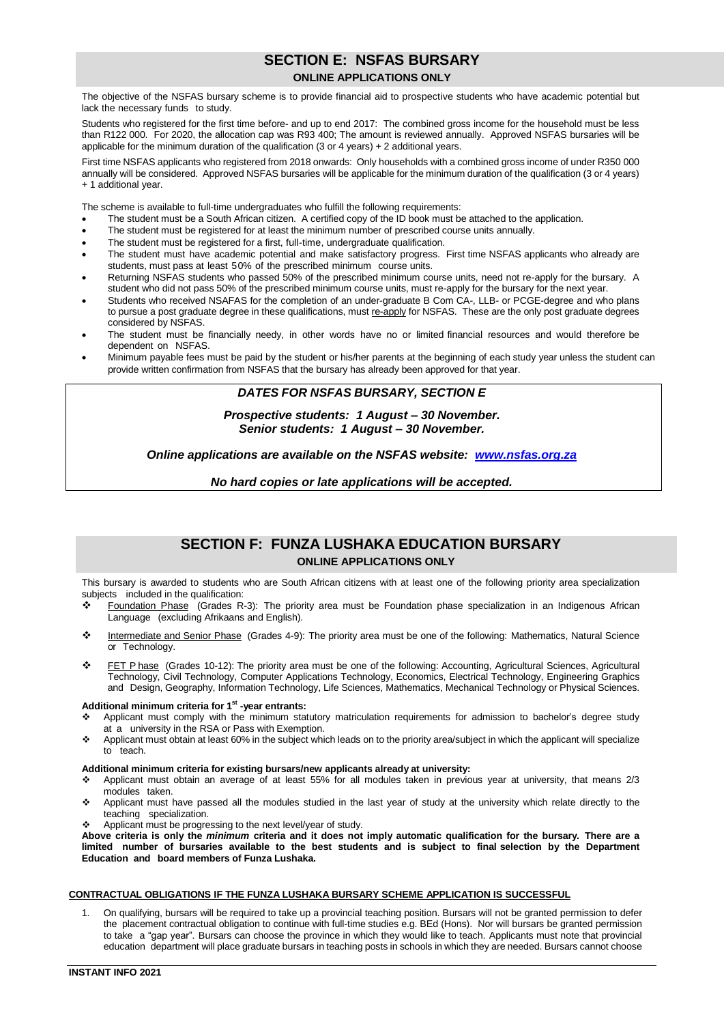# **SECTION E: NSFAS BURSARY ONLINE APPLICATIONS ONLY**

The objective of the NSFAS bursary scheme is to provide financial aid to prospective students who have academic potential but lack the necessary funds to study.

Students who registered for the first time before- and up to end 2017: The combined gross income for the household must be less than R122 000. For 2020, the allocation cap was R93 400; The amount is reviewed annually. Approved NSFAS bursaries will be applicable for the minimum duration of the qualification (3 or 4 years) + 2 additional years.

First time NSFAS applicants who registered from 2018 onwards: Only households with a combined gross income of under R350 000 annually will be considered. Approved NSFAS bursaries will be applicable for the minimum duration of the qualification (3 or 4 years) + 1 additional year.

The scheme is available to full-time undergraduates who fulfill the following requirements:

- The student must be a South African citizen. A certified copy of the ID book must be attached to the application.
- The student must be registered for at least the minimum number of prescribed course units annually.
- The student must be registered for a first, full-time, undergraduate qualification.
- The student must have academic potential and make satisfactory progress. First time NSFAS applicants who already are students, must pass at least 50% of the prescribed minimum course units.
- Returning NSFAS students who passed 50% of the prescribed minimum course units, need not re-apply for the bursary. A student who did not pass 50% of the prescribed minimum course units, must re-apply for the bursary for the next year.
- Students who received NSAFAS for the completion of an under-graduate B Com CA-, LLB- or PCGE-degree and who plans to pursue a post graduate degree in these qualifications, must re-apply for NSFAS. These are the only post graduate degrees considered by NSFAS.
- The student must be financially needy, in other words have no or limited financial resources and would therefore be dependent on NSFAS.
- Minimum payable fees must be paid by the student or his/her parents at the beginning of each study year unless the student can provide written confirmation from NSFAS that the bursary has already been approved for that year.

### *DATES FOR NSFAS BURSARY, SECTION E*

*Prospective students: 1 August – 30 November. Senior students: 1 August – 30 November.*

*Online applications are available on the NSFAS website: [www.nsfas.org.za](http://www.nsfas.org.za/)*

*No hard copies or late applications will be accepted.*

# **SECTION F: FUNZA LUSHAKA EDUCATION BURSARY ONLINE APPLICATIONS ONLY**

This bursary is awarded to students who are South African citizens with at least one of the following priority area specialization subjects included in the qualification:<br>  $\bullet$  Equipolation Phase (Grades R

- Foundation Phase (Grades R-3): The priority area must be Foundation phase specialization in an Indigenous African Language (excluding Afrikaans and English).
- Intermediate and Senior Phase (Grades 4-9): The priority area must be one of the following: Mathematics, Natural Science or Technology.
- FET P hase (Grades 10-12): The priority area must be one of the following: Accounting, Agricultural Sciences, Agricultural Technology, Civil Technology, Computer Applications Technology, Economics, Electrical Technology, Engineering Graphics and Design, Geography, Information Technology, Life Sciences, Mathematics, Mechanical Technology or Physical Sciences.

#### **Additional minimum criteria for 1 st -year entrants:**

- Applicant must comply with the minimum statutory matriculation requirements for admission to bachelor's degree study at a university in the RSA or Pass with Exemption.
- Applicant must obtain at least 60% in the subject which leads on to the priority area/subject in which the applicant will specialize to teach.

#### **Additional minimum criteria for existing bursars/new applicants already at university:**

- Applicant must obtain an average of at least 55% for all modules taken in previous year at university, that means 2/3 modules taken.
- Applicant must have passed all the modules studied in the last year of study at the university which relate directly to the teaching specialization.
- Applicant must be progressing to the next level/year of study.

Above criteria is only the minimum criteria and it does not imply automatic qualification for the bursary. There are a limited number of bursaries available to the best students and is subject to final selection by the Department **Education and board members of Funza Lushaka.**

#### **CONTRACTUAL OBLIGATIONS IF THE FUNZA LUSHAKA BURSARY SCHEME APPLICATION IS SUCCESSFUL**

1. On qualifying, bursars will be required to take up a provincial teaching position. Bursars will not be granted permission to defer the placement contractual obligation to continue with full-time studies e.g. BEd (Hons). Nor will bursars be granted permission to take a "gap year". Bursars can choose the province in which they would like to teach. Applicants must note that provincial education department will place graduate bursars in teaching posts in schools in which they are needed. Bursars cannot choose